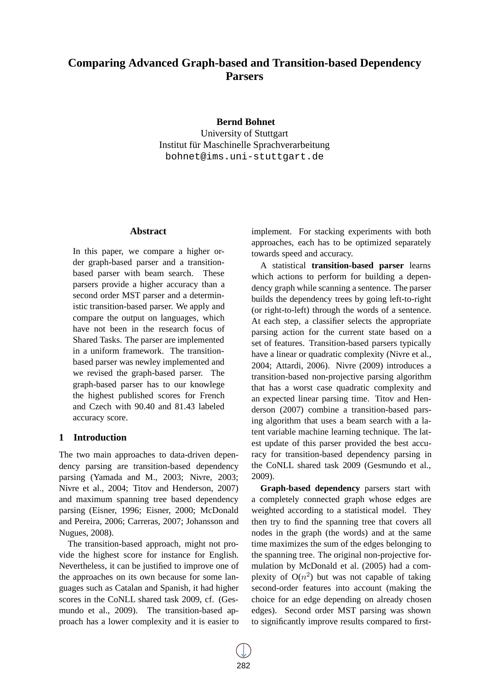# **Comparing Advanced Graph-based and Transition-based Dependency Parsers**

**Bernd Bohnet**

University of Stuttgart Institut für Maschinelle Sprachverarbeitung bohnet@ims.uni-stuttgart.de

## **Abstract**

In this paper, we compare a higher order graph-based parser and a transitionbased parser with beam search. These parsers provide a higher accuracy than a second order MST parser and a deterministic transition-based parser. We apply and compare the output on languages, which have not been in the research focus of Shared Tasks. The parser are implemented in a uniform framework. The transitionbased parser was newley implemented and we revised the graph-based parser. The graph-based parser has to our knowlege the highest published scores for French and Czech with 90.40 and 81.43 labeled accuracy score.

# **1 Introduction**

The two main approaches to data-driven dependency parsing are transition-based dependency parsing (Yamada and M., 2003; Nivre, 2003; Nivre et al., 2004; Titov and Henderson, 2007) and maximum spanning tree based dependency parsing (Eisner, 1996; Eisner, 2000; McDonald and Pereira, 2006; Carreras, 2007; Johansson and Nugues, 2008).

The transition-based approach, might not provide the highest score for instance for English. Nevertheless, it can be justified to improve one of the approaches on its own because for some languages such as Catalan and Spanish, it had higher scores in the CoNLL shared task 2009, cf. (Gesmundo et al., 2009). The transition-based approach has a lower complexity and it is easier to implement. For stacking experiments with both approaches, each has to be optimized separately towards speed and accuracy.

A statistical **transition-based parser** learns which actions to perform for building a dependency graph while scanning a sentence. The parser builds the dependency trees by going left-to-right (or right-to-left) through the words of a sentence. At each step, a classifier selects the appropriate parsing action for the current state based on a set of features. Transition-based parsers typically have a linear or quadratic complexity (Nivre et al., 2004; Attardi, 2006). Nivre (2009) introduces a transition-based non-projective parsing algorithm that has a worst case quadratic complexity and an expected linear parsing time. Titov and Henderson (2007) combine a transition-based parsing algorithm that uses a beam search with a latent variable machine learning technique. The latest update of this parser provided the best accuracy for transition-based dependency parsing in the CoNLL shared task 2009 (Gesmundo et al., 2009).

**Graph-based dependency** parsers start with a completely connected graph whose edges are weighted according to a statistical model. They then try to find the spanning tree that covers all nodes in the graph (the words) and at the same time maximizes the sum of the edges belonging to the spanning tree. The original non-projective formulation by McDonald et al. (2005) had a complexity of  $O(n^2)$  but was not capable of taking second-order features into account (making the choice for an edge depending on already chosen edges). Second order MST parsing was shown to significantly improve results compared to first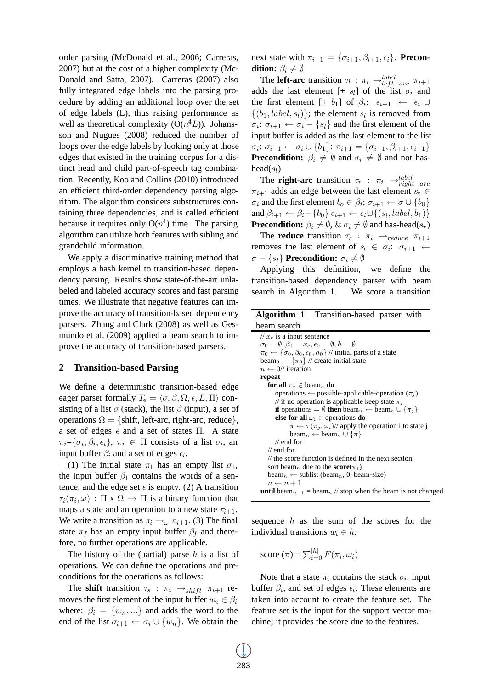order parsing (McDonald et al., 2006; Carreras, 2007) but at the cost of a higher complexity (Mc-Donald and Satta, 2007). Carreras (2007) also fully integrated edge labels into the parsing procedure by adding an additional loop over the set of edge labels (L), thus raising performance as well as theoretical complexity  $(O(n^4L))$ . Johansson and Nugues (2008) reduced the number of loops over the edge labels by looking only at those edges that existed in the training corpus for a distinct head and child part-of-speech tag combination. Recently, Koo and Collins (2010) introduced an efficient third-order dependency parsing algorithm. The algorithm considers substructures containing three dependencies, and is called efficient because it requires only  $O(n^4)$  time. The parsing algorithm can utilize both features with sibling and grandchild information.

We apply a discriminative training method that employs a hash kernel to transition-based dependency parsing. Results show state-of-the-art unlabeled and labeled accuracy scores and fast parsing times. We illustrate that negative features can improve the accuracy of transition-based dependency parsers. Zhang and Clark (2008) as well as Gesmundo et al. (2009) applied a beam search to improve the accuracy of transition-based parsers.

#### **2 Transition-based Parsing**

We define a deterministic transition-based edge eager parser formally  $T_e = \langle \sigma, \beta, \Omega, \epsilon, L, \Pi \rangle$  consisting of a list  $\sigma$  (stack), the list  $\beta$  (input), a set of operations  $\Omega = \{\text{shift, left-arc, right-arc, reduce}\},\$ a set of edges  $\epsilon$  and a set of states Π. A state  $\pi_i = {\sigma_i, \beta_i, \epsilon_i}, \pi_i \in \Pi$  consists of a list  $\sigma_i$ , an input buffer  $\beta_i$  and a set of edges  $\epsilon_i$ .

(1) The initial state  $\pi_1$  has an empty list  $\sigma_1$ , the input buffer  $\beta_1$  contains the words of a sentence, and the edge set  $\epsilon$  is empty. (2) A transition  $\tau_i(\pi_i, \omega) : \Pi \times \Omega \to \Pi$  is a binary function that maps a state and an operation to a new state  $\pi_{i+1}$ . We write a transition as  $\pi_i \rightarrow \omega \pi_{i+1}$ . (3) The final state  $\pi_f$  has an empty input buffer  $\beta_f$  and therefore, no further operations are applicable.

The history of the (partial) parse  $h$  is a list of operations. We can define the operations and preconditions for the operations as follows:

The **shift** transition  $\tau_s$ :  $\pi_i \rightarrow_{shift} \pi_{i+1}$  removes the first element of the input buffer  $w_n \in \beta_i$ where:  $\beta_i = \{w_n, ...\}$  and adds the word to the end of the list  $\sigma_{i+1} \leftarrow \sigma_i \cup \{w_n\}$ . We obtain the next state with  $\pi_{i+1} = {\sigma_{i+1}, \beta_{i+1}, \epsilon_i}$ . **Precondition:**  $\beta_i \neq \emptyset$ 

The **left-arc** transition  $\tau_l$  :  $\pi_i \rightarrow_{left-arc}^{label} \pi_{i+1}$ adds the last element  $[+ s_l]$  of the list  $\sigma_i$  and the first element  $[+ b_1]$  of  $\beta_i$ :  $\epsilon_{i+1} \leftarrow \epsilon_i \cup$  $\{(b_1, label, s_l)\};$  the element  $s_l$  is removed from  $\sigma_i$ :  $\sigma_{i+1} \leftarrow \sigma_i - \{s_l\}$  and the first element of the input buffer is added as the last element to the list  $\sigma_i: \sigma_{i+1} \leftarrow \sigma_i \cup \{b_1\}: \pi_{i+1} = \{\sigma_{i+1}, \beta_{i+1}, \epsilon_{i+1}\}\$ **Precondition:**  $\beta_i \neq \emptyset$  and  $\sigma_i \neq \emptyset$  and not has $head(s_l)$ 

The **right-arc** transition  $\tau_r$  :  $\pi_i \rightarrow \frac{label}{right-arc}$  $\pi_{i+1}$  adds an edge between the last element  $s_e \in$  $\sigma_i$  and the first element  $b_o \in \beta_i$ ;  $\sigma_{i+1} \leftarrow \sigma \cup \{b_0\}$ and  $\beta_{i+1} \leftarrow \beta_i - \{b_0\} \epsilon_{i+1} \leftarrow \epsilon_i \cup \{(s_l, label, b_1)\}$ **Precondition:**  $\beta_i \neq \emptyset$ , &  $\sigma_i \neq \emptyset$  and has-head( $s_r$ )

The **reduce** transition  $\tau_r$  :  $\pi_i \rightarrow$ reduce  $\pi_{i+1}$ removes the last element of  $s_l \in \sigma_i$ :  $\sigma_{i+1} \leftarrow$  $\sigma - \{s_i\}$  **Precondition:**  $\sigma_i \neq \emptyset$ 

Applying this definition, we define the transition-based dependency parser with beam search in Algorithm 1. We score a transition

| <b>Algorithm 1:</b> Transition-based parser with                                                            |
|-------------------------------------------------------------------------------------------------------------|
| beam search                                                                                                 |
| // $x_c$ is a input sentence                                                                                |
| $\sigma_0 = \emptyset$ , $\beta_0 = x_c$ , $\epsilon_0 = \emptyset$ , $h = \emptyset$                       |
| $\pi_0 \leftarrow {\sigma_0, \beta_0, \epsilon_0, h_0}$ // initial parts of a state                         |
| beam <sub>0</sub> $\leftarrow \{\pi_0\}$ // create initial state                                            |
| $n \leftarrow 0$ // iteration                                                                               |
| repeat                                                                                                      |
| for all $\pi_i \in \text{beam}_n$ do                                                                        |
| operations $\leftarrow$ possible-applicable-operation $(\pi_i)$                                             |
| // if no operation is applicable keep state $\pi_i$                                                         |
| <b>if</b> operations = $\emptyset$ then beam <sub>n</sub> $\leftarrow$ beam <sub>n</sub> $\cup$ { $\pi_i$ } |
| else for all $\omega_i \in$ operations do                                                                   |
| $\pi \leftarrow \tau(\pi_i, \omega_i)$ // apply the operation i to state j                                  |
| beam <sub>n</sub> $\leftarrow$ beam <sub>n</sub> $\cup$ $\{\pi\}$                                           |
| $\mathcal{U}$ end for                                                                                       |
| $\mathcal{U}$ end for                                                                                       |
| $\ell$ the score function is defined in the next section                                                    |
| sort beam <sub>n</sub> due to the score( $\pi_i$ )                                                          |
| beam <sub>n</sub> $\leftarrow$ sublist (beam <sub>n</sub> , 0, beam-size)                                   |
| $n \leftarrow n + 1$                                                                                        |
| <b>until</b> beam <sub>n-1</sub> = beam <sub>n</sub> // stop when the beam is not changed                   |
|                                                                                                             |

sequence  $h$  as the sum of the scores for the individual transitions  $w_i \in h$ :

score 
$$
(\pi) = \sum_{i=0}^{|h|} F(\pi_i, \omega_i)
$$

Note that a state  $\pi_i$  contains the stack  $\sigma_i$ , input buffer  $\beta_i$ , and set of edges  $\epsilon_i$ . These elements are taken into account to create the feature set. The feature set is the input for the support vector machine; it provides the score due to the features.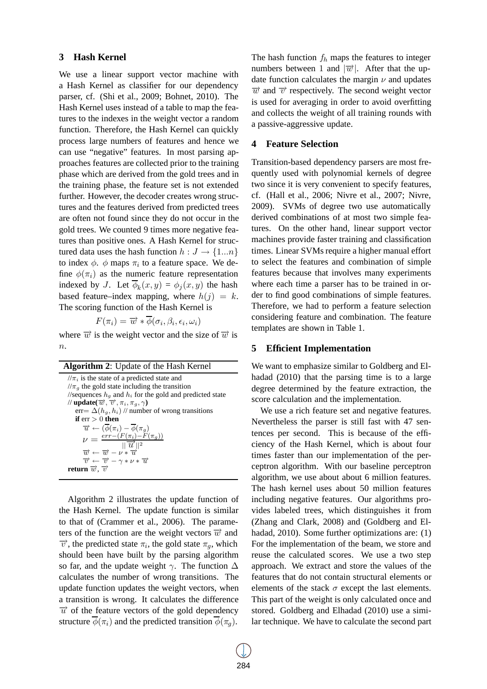## **3 Hash Kernel**

We use a linear support vector machine with a Hash Kernel as classifier for our dependency parser, cf. (Shi et al., 2009; Bohnet, 2010). The Hash Kernel uses instead of a table to map the features to the indexes in the weight vector a random function. Therefore, the Hash Kernel can quickly process large numbers of features and hence we can use "negative" features. In most parsing approaches features are collected prior to the training phase which are derived from the gold trees and in the training phase, the feature set is not extended further. However, the decoder creates wrong structures and the features derived from predicted trees are often not found since they do not occur in the gold trees. We counted 9 times more negative features than positive ones. A Hash Kernel for structured data uses the hash function  $h : J \rightarrow \{1...n\}$ to index  $\phi$ .  $\phi$  maps  $\pi_i$  to a feature space. We define  $\phi(\pi_i)$  as the numeric feature representation indexed by J. Let  $\overline{\phi}_k(x, y) = \phi_i(x, y)$  the hash based feature–index mapping, where  $h(j) = k$ . The scoring function of the Hash Kernel is

$$
F(\pi_i) = \overrightarrow{w} * \overrightarrow{\phi}(\sigma_i, \beta_i, \epsilon_i, \omega_i)
$$

where  $\vec{w}$  is the weight vector and the size of  $\vec{w}$  is  $\overline{n}$ .

| <b>Algorithm 2:</b> Update of the Hash Kernel                                           |
|-----------------------------------------------------------------------------------------|
| $\sqrt{\pi_i}$ is the state of a predicted state and                                    |
| $\pi_a$ the gold state including the transition                                         |
| //sequences $h_q$ and $h_i$ for the gold and predicted state                            |
| // update( $\overrightarrow{w}$ , $\overrightarrow{v}$ , $\pi_i$ , $\pi_a$ , $\gamma$ ) |
| err = $\Delta(h_a, h_i)$ // number of wrong transitions                                 |
| if $err > 0$ then                                                                       |
| $\overrightarrow{u} \leftarrow (\phi(\pi_i) - \overline{\phi}(\pi_q))$                  |
|                                                                                         |
| $\nu = \frac{err - (F(\pi_i) - F(\pi_g))}{  \vec{u}  ^2}$                               |
| $\overrightarrow{w} \leftarrow \overrightarrow{w} - \nu * \overrightarrow{x}$           |
| $\overrightarrow{v} \leftarrow \overrightarrow{v} - \gamma * \nu * \overrightarrow{u}$  |
| return $\overrightarrow{w}$ . $\overrightarrow{v}$                                      |

Algorithm 2 illustrates the update function of the Hash Kernel. The update function is similar to that of (Crammer et al., 2006). The parameters of the function are the weight vectors  $\overrightarrow{w}$  and  $\overrightarrow{v}$ , the predicted state  $\pi_i$ , the gold state  $\pi_q$ , which should been have built by the parsing algorithm so far, and the update weight  $\gamma$ . The function  $\Delta$ calculates the number of wrong transitions. The update function updates the weight vectors, when a transition is wrong. It calculates the difference  $\vec{u}$  of the feature vectors of the gold dependency structure  $\overline{\phi}(\pi_i)$  and the predicted transition  $\overline{\phi}(\pi_q)$ .

The hash function  $f_h$  maps the features to integer numbers between 1 and  $|\vec{w}|$ . After that the update function calculates the margin  $\nu$  and updates  $\overrightarrow{w}$  and  $\overrightarrow{v}$  respectively. The second weight vector is used for averaging in order to avoid overfitting and collects the weight of all training rounds with a passive-aggressive update.

#### **4 Feature Selection**

Transition-based dependency parsers are most frequently used with polynomial kernels of degree two since it is very convenient to specify features, cf. (Hall et al., 2006; Nivre et al., 2007; Nivre, 2009). SVMs of degree two use automatically derived combinations of at most two simple features. On the other hand, linear support vector machines provide faster training and classification times. Linear SVMs require a higher manual effort to select the features and combination of simple features because that involves many experiments where each time a parser has to be trained in order to find good combinations of simple features. Therefore, we had to perform a feature selection considering feature and combination. The feature templates are shown in Table 1.

#### **5 Efficient Implementation**

We want to emphasize similar to Goldberg and Elhadad (2010) that the parsing time is to a large degree determined by the feature extraction, the score calculation and the implementation.

We use a rich feature set and negative features. Nevertheless the parser is still fast with 47 sentences per second. This is because of the efficiency of the Hash Kernel, which is about four times faster than our implementation of the perceptron algorithm. With our baseline perceptron algorithm, we use about about 6 million features. The hash kernel uses about 50 million features including negative features. Our algorithms provides labeled trees, which distinguishes it from (Zhang and Clark, 2008) and (Goldberg and Elhadad, 2010). Some further optimizations are: (1) For the implementation of the beam, we store and reuse the calculated scores. We use a two step approach. We extract and store the values of the features that do not contain structural elements or elements of the stack  $\sigma$  except the last elements. This part of the weight is only calculated once and stored. Goldberg and Elhadad (2010) use a similar technique. We have to calculate the second part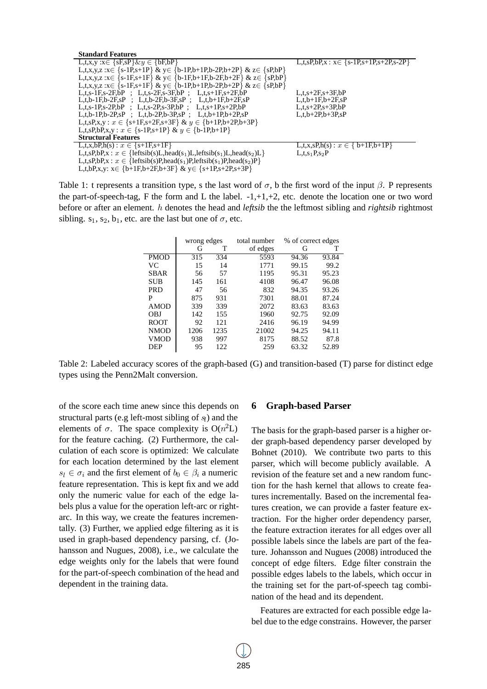| <b>Standard Features</b>                                                                                |                                                                           |
|---------------------------------------------------------------------------------------------------------|---------------------------------------------------------------------------|
| L,t,x,y: $x \in \{sF,sP\} \& y \in \{bF,bP\}$                                                           | L,t,sP,bP, $\overline{x}$ : $\overline{x} \in \{s-1P, s+1P, s+2P, s-2P\}$ |
| L,t,x,y,z :x∈ {s-1P,s+1P} & y∈ {b-1P,b+1P,b-2P,b+2P} & z∈ {sP,bP}                                       |                                                                           |
| L,t,x,y,z :x∈ {s-1F,s+1F} & y∈ {b-1F,b+1F,b-2F,b+2F} & z∈ {sP,bP}                                       |                                                                           |
| L,t,x,y,z :x∈ {s-1F,s+1F} & y∈ {b-1P,b+1P,b-2P,b+2P} & z∈ {sP,bP}                                       |                                                                           |
| L,t,s-1F,s-2F,bP ; L,t,s-2F,s-3F,bP ; L,t,s+1F,s+2F,bP                                                  | $L, t, s+2F, s+3F, bP$                                                    |
| L,t,b-1F,b-2F,sP : L,t,b-2F,b-3F,sP : L,t,b+1F,b+2F,sP                                                  | $L, t, b+1F, b+2F, sP$                                                    |
| L,t,s-1P,s-2P,bP : L,t,s-2P,s-3P,bP : L,t,s+1P,s+2P,bP                                                  | $L$ ,t,s+2P,s+3P,bP                                                       |
| L,t,b-1P,b-2P,sP ; L,t,b-2P,b-3P,sP ; L,t,b+1P,b+2P,sP                                                  | $L.t.b+2P.b+3P_sP$                                                        |
| L,t,sP,x,y: $x \in \{s+1F, s+2F, s+3F\}$ & $y \in \{b+1P, b+2P, b+3P\}$                                 |                                                                           |
| L,t,sP,bP,x,y: $x \in \{s-1P, s+1P\} \& y \in \{b-1P, b+1P\}$                                           |                                                                           |
| <b>Structural Features</b>                                                                              |                                                                           |
| L,t,x,bP,h(s) : $x \in \{s+1\overline{F}, s+1F\}$                                                       | L,t,x,sP,h(s) : $x \in \{b+1F,b+1P\}$                                     |
| $L, t, sP, bP, x: x \in \{left(s_1)L, head(s_1)L, leftsib(s_1)L, head(s_2)L\}$                          | $L, t, s_1 P, s_2 P$                                                      |
| L,t,sP,bP,x : $x \in \{\text{leftsib(s)}\},\text{head}(s_1)\},\text{leftsib(s_1)}\},\text{head}(s_2)\}$ |                                                                           |
| L,t,bP,x,y: $x \in \{b+1F, b+2F, b+3F\}$ & $y \in \{s+1P, s+2P, s+3P\}$                                 |                                                                           |

Table 1: t represents a transition type, s the last word of  $\sigma$ , b the first word of the input  $\beta$ . P represents the part-of-speech-tag, F the form and L the label.  $-1, +1, +2$ , etc. denote the location one or two word before or after an element. h denotes the head and *leftsib* the the leftmost sibling and *rightsib* rightmost sibling.  $s_1$ ,  $s_2$ ,  $b_1$ , etc. are the last but one of  $\sigma$ , etc.

|             | wrong edges |      | total number | % of correct edges |       |
|-------------|-------------|------|--------------|--------------------|-------|
|             | G           | т    | of edges     | G                  |       |
| <b>PMOD</b> | 315         | 334  | 5593         | 94.36              | 93.84 |
| VС          | 15          | 14   | 1771         | 99.15              | 99.2  |
| <b>SBAR</b> | 56          | 57   | 1195         | 95.31              | 95.23 |
| <b>SUB</b>  | 145         | 161  | 4108         | 96.47              | 96.08 |
| PRD         | 47          | 56   | 832          | 94.35              | 93.26 |
| P           | 875         | 931  | 7301         | 88.01              | 87.24 |
| <b>AMOD</b> | 339         | 339  | 2072         | 83.63              | 83.63 |
| OBJ         | 142         | 155  | 1960         | 92.75              | 92.09 |
| <b>ROOT</b> | 92          | 121  | 2416         | 96.19              | 94.99 |
| <b>NMOD</b> | 1206        | 1235 | 21002        | 94.25              | 94.11 |
| VMOD        | 938         | 997  | 8175         | 88.52              | 87.8  |
| DEP         | 95          | 122  | 259          | 63.32              | 52.89 |

Table 2: Labeled accuracy scores of the graph-based (G) and transition-based (T) parse for distinct edge types using the Penn2Malt conversion.

of the score each time anew since this depends on structural parts (e.g left-most sibling of  $s<sub>l</sub>$ ) and the elements of  $\sigma$ . The space complexity is  $O(n^2L)$ for the feature caching. (2) Furthermore, the calculation of each score is optimized: We calculate for each location determined by the last element  $s_l \in \sigma_i$  and the first element of  $b_0 \in \beta_i$  a numeric feature representation. This is kept fix and we add only the numeric value for each of the edge labels plus a value for the operation left-arc or rightarc. In this way, we create the features incrementally. (3) Further, we applied edge filtering as it is used in graph-based dependency parsing, cf. (Johansson and Nugues, 2008), i.e., we calculate the edge weights only for the labels that were found for the part-of-speech combination of the head and dependent in the training data.

#### **6 Graph-based Parser**

The basis for the graph-based parser is a higher order graph-based dependency parser developed by Bohnet (2010). We contribute two parts to this parser, which will become publicly available. A revision of the feature set and a new random function for the hash kernel that allows to create features incrementally. Based on the incremental features creation, we can provide a faster feature extraction. For the higher order dependency parser, the feature extraction iterates for all edges over all possible labels since the labels are part of the feature. Johansson and Nugues (2008) introduced the concept of edge filters. Edge filter constrain the possible edges labels to the labels, which occur in the training set for the part-of-speech tag combination of the head and its dependent.

Features are extracted for each possible edge label due to the edge constrains. However, the parser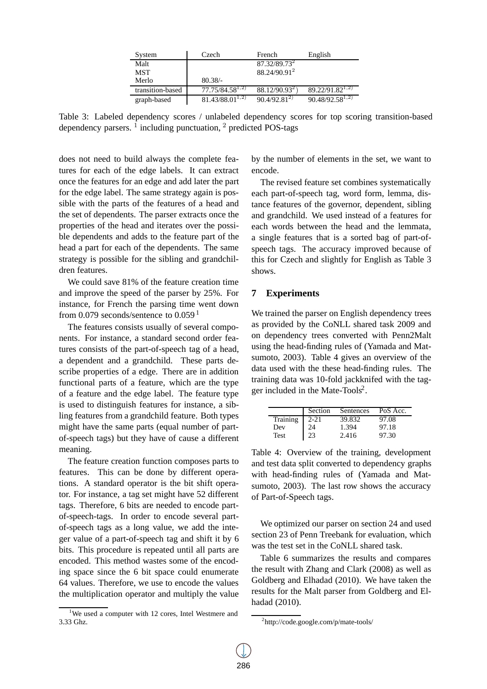| System           | Czech                          | French                   | English             |
|------------------|--------------------------------|--------------------------|---------------------|
| Malt             |                                | 87.32/89.73 <sup>2</sup> |                     |
| <b>MST</b>       |                                | 88.24/90.91 <sup>2</sup> |                     |
| Merlo            | $80.38/-$                      |                          |                     |
| transition-based | $77.75/84.\overline{58^{1,2}}$ | $88.12/90.932$ )         | $89.22/91.82^{1,2}$ |
| graph-based      | $81.43/88.01^{1,2}$            | $90.4/92.81^{2}$         | $90.48/92.58^{1,2}$ |

Table 3: Labeled dependency scores / unlabeled dependency scores for top scoring transition-based dependency parsers.  $<sup>1</sup>$  including punctuation,  $<sup>2</sup>$  predicted POS-tags</sup></sup>

does not need to build always the complete features for each of the edge labels. It can extract once the features for an edge and add later the part for the edge label. The same strategy again is possible with the parts of the features of a head and the set of dependents. The parser extracts once the properties of the head and iterates over the possible dependents and adds to the feature part of the head a part for each of the dependents. The same strategy is possible for the sibling and grandchildren features.

We could save 81% of the feature creation time and improve the speed of the parser by 25%. For instance, for French the parsing time went down from 0.079 seconds/sentence to  $0.059<sup>1</sup>$ 

The features consists usually of several components. For instance, a standard second order features consists of the part-of-speech tag of a head, a dependent and a grandchild. These parts describe properties of a edge. There are in addition functional parts of a feature, which are the type of a feature and the edge label. The feature type is used to distinguish features for instance, a sibling features from a grandchild feature. Both types might have the same parts (equal number of partof-speech tags) but they have of cause a different meaning.

The feature creation function composes parts to features. This can be done by different operations. A standard operator is the bit shift operator. For instance, a tag set might have 52 different tags. Therefore, 6 bits are needed to encode partof-speech-tags. In order to encode several partof-speech tags as a long value, we add the integer value of a part-of-speech tag and shift it by 6 bits. This procedure is repeated until all parts are encoded. This method wastes some of the encoding space since the 6 bit space could enumerate 64 values. Therefore, we use to encode the values the multiplication operator and multiply the value

<sup>1</sup>We used a computer with 12 cores, Intel Westmere and 3.33 Ghz.

by the number of elements in the set, we want to encode.

The revised feature set combines systematically each part-of-speech tag, word form, lemma, distance features of the governor, dependent, sibling and grandchild. We used instead of a features for each words between the head and the lemmata, a single features that is a sorted bag of part-ofspeech tags. The accuracy improved because of this for Czech and slightly for English as Table 3 shows.

# **7 Experiments**

We trained the parser on English dependency trees as provided by the CoNLL shared task 2009 and on dependency trees converted with Penn2Malt using the head-finding rules of (Yamada and Matsumoto, 2003). Table 4 gives an overview of the data used with the these head-finding rules. The training data was 10-fold jackknifed with the tagger included in the Mate-Tools<sup>2</sup>.

|          | Section  | Sentences | PoS Acc. |
|----------|----------|-----------|----------|
| Training | $2 - 21$ | 39.832    | 97.08    |
| Dev      | 24       | 1.394     | 97.18    |
| Test     | 23       | 2.416     | 97.30    |

Table 4: Overview of the training, development and test data split converted to dependency graphs with head-finding rules of (Yamada and Matsumoto, 2003). The last row shows the accuracy of Part-of-Speech tags.

We optimized our parser on section 24 and used section 23 of Penn Treebank for evaluation, which was the test set in the CoNLL shared task.

Table 6 summarizes the results and compares the result with Zhang and Clark (2008) as well as Goldberg and Elhadad (2010). We have taken the results for the Malt parser from Goldberg and Elhadad (2010).

<sup>2</sup> http://code.google.com/p/mate-tools/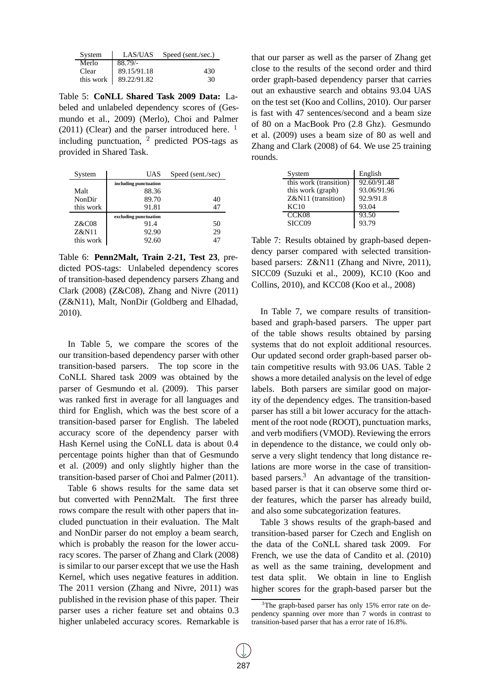| System    | LAS/UAS     | Speed (sent./sec.) |
|-----------|-------------|--------------------|
| Merlo     | $88.79/-$   |                    |
| Clear     | 89.15/91.18 | 430                |
| this work | 89.22/91.82 | 30                 |

Table 5: **CoNLL Shared Task 2009 Data:** Labeled and unlabeled dependency scores of (Gesmundo et al., 2009) (Merlo), Choi and Palmer (2011) (Clear) and the parser introduced here.  $<sup>1</sup>$ </sup> including punctuation,  $\frac{2}{3}$  predicted POS-tags as provided in Shared Task.

| System    | UAS                   | Speed (sent./sec) |
|-----------|-----------------------|-------------------|
|           | including punctuation |                   |
| Malt      | 88.36                 |                   |
| NonDir    | 89.70                 | 40                |
| this work | 91.81                 | 47                |
|           | excluding punctuation |                   |
| Z&C08     | 91.4                  | 50                |
| Z&N11     | 92.90                 | 29                |
| this work | 92.60                 | 47                |

Table 6: **Penn2Malt, Train 2-21, Test 23**, predicted POS-tags: Unlabeled dependency scores of transition-based dependency parsers Zhang and Clark (2008) (Z&C08), Zhang and Nivre (2011) (Z&N11), Malt, NonDir (Goldberg and Elhadad, 2010).

In Table 5, we compare the scores of the our transition-based dependency parser with other transition-based parsers. The top score in the CoNLL Shared task 2009 was obtained by the parser of Gesmundo et al. (2009). This parser was ranked first in average for all languages and third for English, which was the best score of a transition-based parser for English. The labeled accuracy score of the dependency parser with Hash Kernel using the CoNLL data is about 0.4 percentage points higher than that of Gesmundo et al. (2009) and only slightly higher than the transition-based parser of Choi and Palmer (2011).

Table 6 shows results for the same data set but converted with Penn2Malt. The first three rows compare the result with other papers that included punctuation in their evaluation. The Malt and NonDir parser do not employ a beam search, which is probably the reason for the lower accuracy scores. The parser of Zhang and Clark (2008) is similar to our parser except that we use the Hash Kernel, which uses negative features in addition. The 2011 version (Zhang and Nivre, 2011) was published in the revision phase of this paper. Their parser uses a richer feature set and obtains 0.3 higher unlabeled accuracy scores. Remarkable is

that our parser as well as the parser of Zhang get close to the results of the second order and third order graph-based dependency parser that carries out an exhaustive search and obtains 93.04 UAS on the test set (Koo and Collins, 2010). Our parser is fast with 47 sentences/second and a beam size of 80 on a MacBook Pro (2.8 Ghz). Gesmundo et al. (2009) uses a beam size of 80 as well and Zhang and Clark (2008) of 64. We use 25 training rounds.

| System                 | English     |
|------------------------|-------------|
| this work (transition) | 92.60/91.48 |
| this work (graph)      | 93.06/91.96 |
| Z&N11 (transition)     | 92.9/91.8   |
| <b>KC10</b>            | 93.04       |
| CCK <sub>08</sub>      | 93.50       |
| SICC <sub>09</sub>     | 93.79       |

Table 7: Results obtained by graph-based dependency parser compared with selected transitionbased parsers: Z&N11 (Zhang and Nivre, 2011), SICC09 (Suzuki et al., 2009), KC10 (Koo and Collins, 2010), and KCC08 (Koo et al., 2008)

In Table 7, we compare results of transitionbased and graph-based parsers. The upper part of the table shows results obtained by parsing systems that do not exploit additional resources. Our updated second order graph-based parser obtain competitive results with 93.06 UAS. Table 2 shows a more detailed analysis on the level of edge labels. Both parsers are similar good on majority of the dependency edges. The transition-based parser has still a bit lower accuracy for the attachment of the root node (ROOT), punctuation marks, and verb modifiers (VMOD). Reviewing the errors in dependence to the distance, we could only observe a very slight tendency that long distance relations are more worse in the case of transitionbased parsers. $3$  An advantage of the transitionbased parser is that it can observe some third order features, which the parser has already build, and also some subcategorization features.

Table 3 shows results of the graph-based and transition-based parser for Czech and English on the data of the CoNLL shared task 2009. For French, we use the data of Candito et al. (2010) as well as the same training, development and test data split. We obtain in line to English higher scores for the graph-based parser but the

<sup>&</sup>lt;sup>3</sup>The graph-based parser has only 15% error rate on dependency spanning over more than 7 words in contrast to transition-based parser that has a error rate of 16.8%.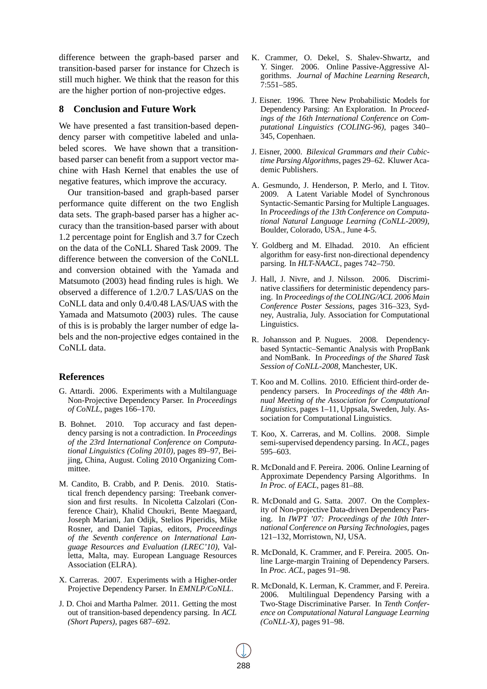difference between the graph-based parser and transition-based parser for instance for Chzech is still much higher. We think that the reason for this are the higher portion of non-projective edges.

#### **8 Conclusion and Future Work**

We have presented a fast transition-based dependency parser with competitive labeled and unlabeled scores. We have shown that a transitionbased parser can benefit from a support vector machine with Hash Kernel that enables the use of negative features, which improve the accuracy.

Our transition-based and graph-based parser performance quite different on the two English data sets. The graph-based parser has a higher accuracy than the transition-based parser with about 1.2 percentage point for English and 3.7 for Czech on the data of the CoNLL Shared Task 2009. The difference between the conversion of the CoNLL and conversion obtained with the Yamada and Matsumoto (2003) head finding rules is high. We observed a difference of 1.2/0.7 LAS/UAS on the CoNLL data and only 0.4/0.48 LAS/UAS with the Yamada and Matsumoto (2003) rules. The cause of this is is probably the larger number of edge labels and the non-projective edges contained in the CoNLL data.

#### **References**

- G. Attardi. 2006. Experiments with a Multilanguage Non-Projective Dependency Parser. In *Proceedings of CoNLL*, pages 166–170.
- B. Bohnet. 2010. Top accuracy and fast dependency parsing is not a contradiction. In *Proceedings of the 23rd International Conference on Computational Linguistics (Coling 2010)*, pages 89–97, Beijing, China, August. Coling 2010 Organizing Committee.
- M. Candito, B. Crabb, and P. Denis. 2010. Statistical french dependency parsing: Treebank conversion and first results. In Nicoletta Calzolari (Conference Chair), Khalid Choukri, Bente Maegaard, Joseph Mariani, Jan Odijk, Stelios Piperidis, Mike Rosner, and Daniel Tapias, editors, *Proceedings of the Seventh conference on International Language Resources and Evaluation (LREC'10)*, Valletta, Malta, may. European Language Resources Association (ELRA).
- X. Carreras. 2007. Experiments with a Higher-order Projective Dependency Parser. In *EMNLP/CoNLL*.
- J. D. Choi and Martha Palmer. 2011. Getting the most out of transition-based dependency parsing. In *ACL (Short Papers)*, pages 687–692.
- K. Crammer, O. Dekel, S. Shalev-Shwartz, and Y. Singer. 2006. Online Passive-Aggressive Algorithms. *Journal of Machine Learning Research*, 7:551–585.
- J. Eisner. 1996. Three New Probabilistic Models for Dependency Parsing: An Exploration. In *Proceedings of the 16th International Conference on Computational Linguistics (COLING-96)*, pages 340– 345, Copenhaen.
- J. Eisner, 2000. *Bilexical Grammars and their Cubictime Parsing Algorithms*, pages 29–62. Kluwer Academic Publishers.
- A. Gesmundo, J. Henderson, P. Merlo, and I. Titov. 2009. A Latent Variable Model of Synchronous Syntactic-Semantic Parsing for Multiple Languages. In *Proceedings of the 13th Conference on Computational Natural Language Learning (CoNLL-2009)*, Boulder, Colorado, USA., June 4-5.
- Y. Goldberg and M. Elhadad. 2010. An efficient algorithm for easy-first non-directional dependency parsing. In *HLT-NAACL*, pages 742–750.
- J. Hall, J. Nivre, and J. Nilsson. 2006. Discriminative classifiers for deterministic dependency parsing. In *Proceedings of the COLING/ACL 2006 Main Conference Poster Sessions*, pages 316–323, Sydney, Australia, July. Association for Computational Linguistics.
- R. Johansson and P. Nugues. 2008. Dependencybased Syntactic–Semantic Analysis with PropBank and NomBank. In *Proceedings of the Shared Task Session of CoNLL-2008*, Manchester, UK.
- T. Koo and M. Collins. 2010. Efficient third-order dependency parsers. In *Proceedings of the 48th Annual Meeting of the Association for Computational Linguistics*, pages 1–11, Uppsala, Sweden, July. Association for Computational Linguistics.
- T. Koo, X. Carreras, and M. Collins. 2008. Simple semi-supervised dependency parsing. In *ACL*, pages 595–603.
- R. McDonald and F. Pereira. 2006. Online Learning of Approximate Dependency Parsing Algorithms. In *In Proc. of EACL*, pages 81–88.
- R. McDonald and G. Satta. 2007. On the Complexity of Non-projective Data-driven Dependency Parsing. In *IWPT '07: Proceedings of the 10th International Conference on Parsing Technologies*, pages 121–132, Morristown, NJ, USA.
- R. McDonald, K. Crammer, and F. Pereira. 2005. Online Large-margin Training of Dependency Parsers. In *Proc. ACL*, pages 91–98.
- R. McDonald, K. Lerman, K. Crammer, and F. Pereira. 2006. Multilingual Dependency Parsing with a Two-Stage Discriminative Parser. In *Tenth Conference on Computational Natural Language Learning (CoNLL-X)*, pages 91–98.